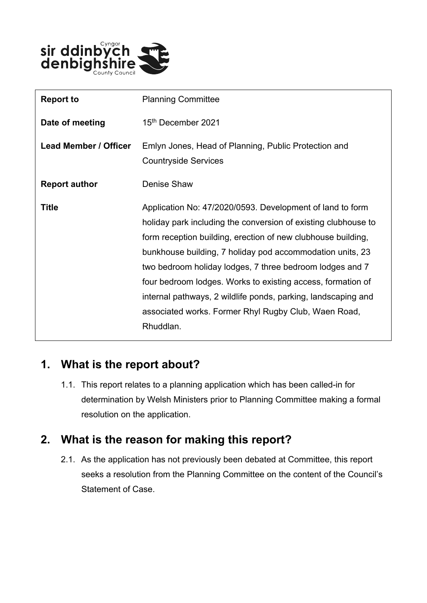

| <b>Report to</b>             | <b>Planning Committee</b>                                                                                                                                                                                                                                                                                                                                                                                                                                                                                                 |
|------------------------------|---------------------------------------------------------------------------------------------------------------------------------------------------------------------------------------------------------------------------------------------------------------------------------------------------------------------------------------------------------------------------------------------------------------------------------------------------------------------------------------------------------------------------|
| Date of meeting              | 15th December 2021                                                                                                                                                                                                                                                                                                                                                                                                                                                                                                        |
| <b>Lead Member / Officer</b> | Emlyn Jones, Head of Planning, Public Protection and<br><b>Countryside Services</b>                                                                                                                                                                                                                                                                                                                                                                                                                                       |
| <b>Report author</b>         | Denise Shaw                                                                                                                                                                                                                                                                                                                                                                                                                                                                                                               |
| <b>Title</b>                 | Application No: 47/2020/0593. Development of land to form<br>holiday park including the conversion of existing clubhouse to<br>form reception building, erection of new clubhouse building,<br>bunkhouse building, 7 holiday pod accommodation units, 23<br>two bedroom holiday lodges, 7 three bedroom lodges and 7<br>four bedroom lodges. Works to existing access, formation of<br>internal pathways, 2 wildlife ponds, parking, landscaping and<br>associated works. Former Rhyl Rugby Club, Waen Road,<br>Rhuddlan. |

## **1. What is the report about?**

1.1. This report relates to a planning application which has been called-in for determination by Welsh Ministers prior to Planning Committee making a formal resolution on the application.

## **2. What is the reason for making this report?**

2.1. As the application has not previously been debated at Committee, this report seeks a resolution from the Planning Committee on the content of the Council's Statement of Case.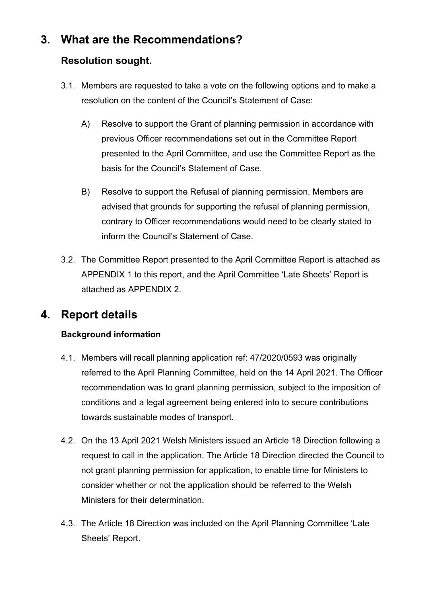# **3. What are the Recommendations?**

#### **Resolution sought.**

- 3.1. Members are requested to take a vote on the following options and to make a resolution on the content of the Council's Statement of Case:
	- A) Resolve to support the Grant of planning permission in accordance with previous Officer recommendations set out in the Committee Report presented to the April Committee, and use the Committee Report as the basis for the Council's Statement of Case.
	- B) Resolve to support the Refusal of planning permission. Members are advised that grounds for supporting the refusal of planning permission, contrary to Officer recommendations would need to be clearly stated to inform the Council's Statement of Case.
- 3.2. The Committee Report presented to the April Committee Report is attached as APPENDIX 1 to this report, and the April Committee 'Late Sheets' Report is attached as APPENDIX 2.

# **4. Report details**

#### **Background information**

- 4.1. Members will recall planning application ref: 47/2020/0593 was originally referred to the April Planning Committee, held on the 14 April 2021. The Officer recommendation was to grant planning permission, subject to the imposition of conditions and a legal agreement being entered into to secure contributions towards sustainable modes of transport.
- 4.2. On the 13 April 2021 Welsh Ministers issued an Article 18 Direction following a request to call in the application. The Article 18 Direction directed the Council to not grant planning permission for application, to enable time for Ministers to consider whether or not the application should be referred to the Welsh Ministers for their determination.
- 4.3. The Article 18 Direction was included on the April Planning Committee 'Late Sheets' Report.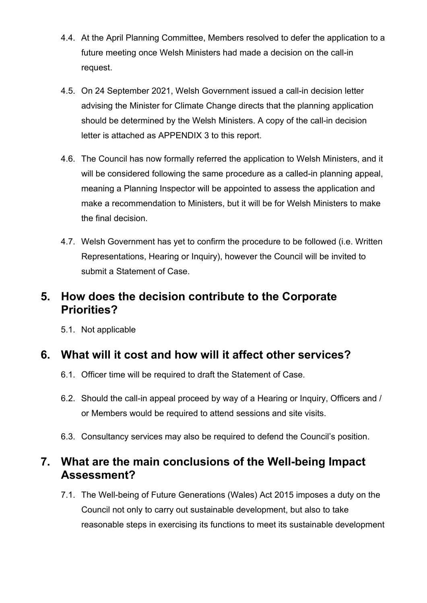- 4.4. At the April Planning Committee, Members resolved to defer the application to a future meeting once Welsh Ministers had made a decision on the call-in request.
- 4.5. On 24 September 2021, Welsh Government issued a call-in decision letter advising the Minister for Climate Change directs that the planning application should be determined by the Welsh Ministers. A copy of the call-in decision letter is attached as APPENDIX 3 to this report.
- 4.6. The Council has now formally referred the application to Welsh Ministers, and it will be considered following the same procedure as a called-in planning appeal, meaning a Planning Inspector will be appointed to assess the application and make a recommendation to Ministers, but it will be for Welsh Ministers to make the final decision.
- 4.7. Welsh Government has yet to confirm the procedure to be followed (i.e. Written Representations, Hearing or Inquiry), however the Council will be invited to submit a Statement of Case.

## **5. How does the decision contribute to the Corporate Priorities?**

5.1. Not applicable

## **6. What will it cost and how will it affect other services?**

- 6.1. Officer time will be required to draft the Statement of Case.
- 6.2. Should the call-in appeal proceed by way of a Hearing or Inquiry, Officers and / or Members would be required to attend sessions and site visits.
- 6.3. Consultancy services may also be required to defend the Council's position.

# **7. What are the main conclusions of the Well-being Impact Assessment?**

7.1. The Well-being of Future Generations (Wales) Act 2015 imposes a duty on the Council not only to carry out sustainable development, but also to take reasonable steps in exercising its functions to meet its sustainable development